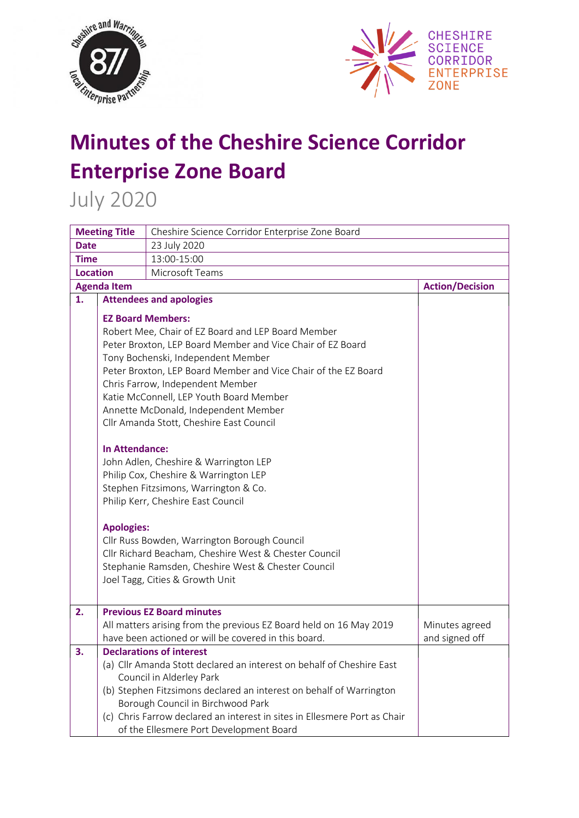



## **Minutes of the Cheshire Science Corridor Enterprise Zone Board**

July 2020

| <b>Meeting Title</b>               |                                            | Cheshire Science Corridor Enterprise Zone Board                                                                                                                                                                                                                                                                                                                                                                                                                                                                                                                                                                                                                                                                                                                                           |                                  |  |
|------------------------------------|--------------------------------------------|-------------------------------------------------------------------------------------------------------------------------------------------------------------------------------------------------------------------------------------------------------------------------------------------------------------------------------------------------------------------------------------------------------------------------------------------------------------------------------------------------------------------------------------------------------------------------------------------------------------------------------------------------------------------------------------------------------------------------------------------------------------------------------------------|----------------------------------|--|
| <b>Date</b>                        |                                            | 23 July 2020                                                                                                                                                                                                                                                                                                                                                                                                                                                                                                                                                                                                                                                                                                                                                                              |                                  |  |
| <b>Time</b>                        |                                            | 13:00-15:00                                                                                                                                                                                                                                                                                                                                                                                                                                                                                                                                                                                                                                                                                                                                                                               |                                  |  |
| Microsoft Teams<br><b>Location</b> |                                            |                                                                                                                                                                                                                                                                                                                                                                                                                                                                                                                                                                                                                                                                                                                                                                                           |                                  |  |
| <b>Agenda Item</b>                 |                                            |                                                                                                                                                                                                                                                                                                                                                                                                                                                                                                                                                                                                                                                                                                                                                                                           | <b>Action/Decision</b>           |  |
| 1.                                 |                                            | <b>Attendees and apologies</b>                                                                                                                                                                                                                                                                                                                                                                                                                                                                                                                                                                                                                                                                                                                                                            |                                  |  |
|                                    | <b>In Attendance:</b><br><b>Apologies:</b> | <b>EZ Board Members:</b><br>Robert Mee, Chair of EZ Board and LEP Board Member<br>Peter Broxton, LEP Board Member and Vice Chair of EZ Board<br>Tony Bochenski, Independent Member<br>Peter Broxton, LEP Board Member and Vice Chair of the EZ Board<br>Chris Farrow, Independent Member<br>Katie McConnell, LEP Youth Board Member<br>Annette McDonald, Independent Member<br>Cllr Amanda Stott, Cheshire East Council<br>John Adlen, Cheshire & Warrington LEP<br>Philip Cox, Cheshire & Warrington LEP<br>Stephen Fitzsimons, Warrington & Co.<br>Philip Kerr, Cheshire East Council<br>Cllr Russ Bowden, Warrington Borough Council<br>Cllr Richard Beacham, Cheshire West & Chester Council<br>Stephanie Ramsden, Cheshire West & Chester Council<br>Joel Tagg, Cities & Growth Unit |                                  |  |
| 2.                                 |                                            | <b>Previous EZ Board minutes</b><br>All matters arising from the previous EZ Board held on 16 May 2019<br>have been actioned or will be covered in this board.                                                                                                                                                                                                                                                                                                                                                                                                                                                                                                                                                                                                                            | Minutes agreed<br>and signed off |  |
| 3.                                 |                                            | <b>Declarations of interest</b><br>(a) Cllr Amanda Stott declared an interest on behalf of Cheshire East<br>Council in Alderley Park<br>(b) Stephen Fitzsimons declared an interest on behalf of Warrington<br>Borough Council in Birchwood Park<br>(c) Chris Farrow declared an interest in sites in Ellesmere Port as Chair<br>of the Ellesmere Port Development Board                                                                                                                                                                                                                                                                                                                                                                                                                  |                                  |  |